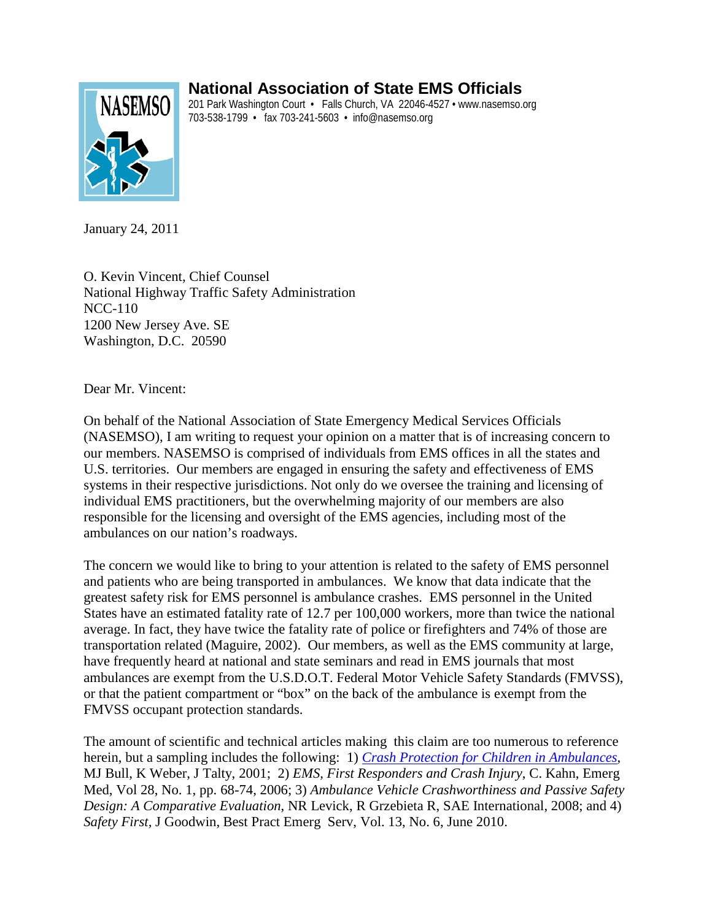# **National Association of State EMS Officials**



201 Park Washington Court • Falls Church, VA 22046-4527 • www.nasemso.org 703-538-1799 • fax 703-241-5603 • info@nasemso.org

January 24, 2011

O. Kevin Vincent, Chief Counsel National Highway Traffic Safety Administration NCC-110 1200 New Jersey Ave. SE Washington, D.C. 20590

Dear Mr. Vincent:

On behalf of the National Association of State Emergency Medical Services Officials (NASEMSO), I am writing to request your opinion on a matter that is of increasing concern to our members. NASEMSO is comprised of individuals from EMS offices in all the states and U.S. territories. Our members are engaged in ensuring the safety and effectiveness of EMS systems in their respective jurisdictions. Not only do we oversee the training and licensing of individual EMS practitioners, but the overwhelming majority of our members are also responsible for the licensing and oversight of the EMS agencies, including most of the ambulances on our nation's roadways.

The concern we would like to bring to your attention is related to the safety of EMS personnel and patients who are being transported in ambulances. We know that data indicate that the greatest safety risk for EMS personnel is ambulance crashes. EMS personnel in the United States have an estimated fatality rate of 12.7 per 100,000 workers, more than twice the national average. In fact, they have twice the fatality rate of police or firefighters and 74% of those are transportation related (Maguire, 2002). Our members, as well as the EMS community at large, have frequently heard at national and state seminars and read in EMS journals that most ambulances are exempt from the U.S.D.O.T. Federal Motor Vehicle Safety Standards (FMVSS), or that the patient compartment or "box" on the back of the ambulance is exempt from the FMVSS occupant protection standards.

The amount of scientific and technical articles making this claim are too numerous to reference herein, but a sampling includes the following: 1) *[Crash Protection for Children in Ambulances](http://www.preventinjury.org/uploads/researchinfo/ResearchInfo_14.pdf)*, MJ Bull, K Weber, J Talty, 2001; 2) *EMS, First Responders and Crash Injury*, C. Kahn, Emerg Med, Vol 28, No. 1, pp. 68-74, 2006; 3) *Ambulance Vehicle Crashworthiness and Passive Safety Design: A Comparative Evaluation*, NR Levick, R Grzebieta R, SAE International, 2008; and 4) *Safety First,* J Goodwin, Best Pract Emerg Serv, Vol. 13, No. 6, June 2010.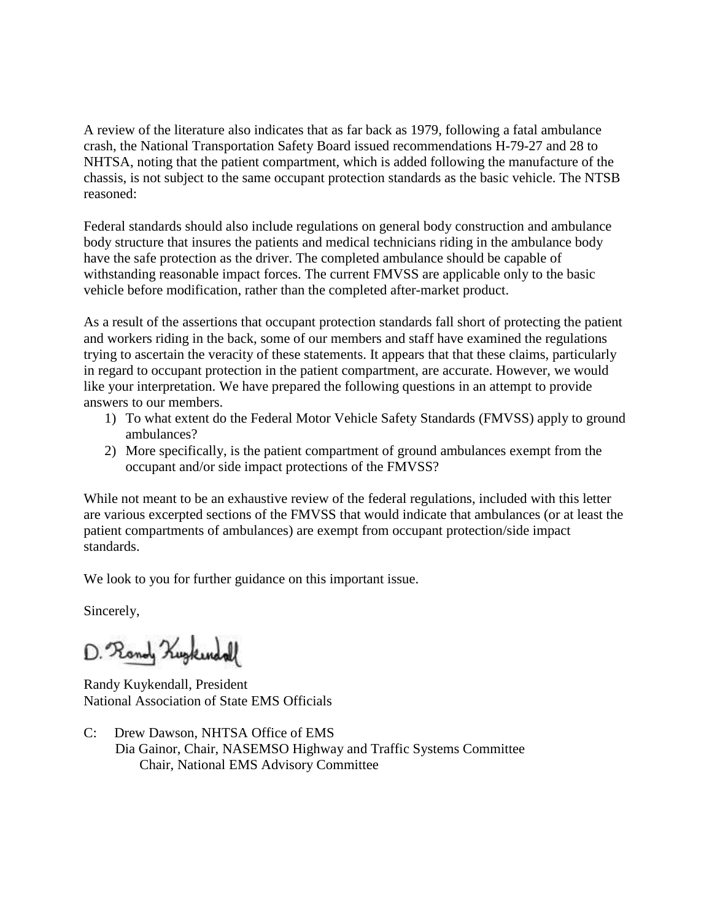A review of the literature also indicates that as far back as 1979, following a fatal ambulance crash, the National Transportation Safety Board issued recommendations H-79-27 and 28 to NHTSA, noting that the patient compartment, which is added following the manufacture of the chassis, is not subject to the same occupant protection standards as the basic vehicle. The NTSB reasoned:

Federal standards should also include regulations on general body construction and ambulance body structure that insures the patients and medical technicians riding in the ambulance body have the safe protection as the driver. The completed ambulance should be capable of withstanding reasonable impact forces. The current FMVSS are applicable only to the basic vehicle before modification, rather than the completed after-market product.

As a result of the assertions that occupant protection standards fall short of protecting the patient and workers riding in the back, some of our members and staff have examined the regulations trying to ascertain the veracity of these statements. It appears that that these claims, particularly in regard to occupant protection in the patient compartment, are accurate. However, we would like your interpretation. We have prepared the following questions in an attempt to provide answers to our members.

- 1) To what extent do the Federal Motor Vehicle Safety Standards (FMVSS) apply to ground ambulances?
- 2) More specifically, is the patient compartment of ground ambulances exempt from the occupant and/or side impact protections of the FMVSS?

While not meant to be an exhaustive review of the federal regulations, included with this letter are various excerpted sections of the FMVSS that would indicate that ambulances (or at least the patient compartments of ambulances) are exempt from occupant protection/side impact standards.

We look to you for further guidance on this important issue.

Sincerely,

D. Rondy Kugkendall

Randy Kuykendall, President National Association of State EMS Officials

C: Drew Dawson, NHTSA Office of EMS Dia Gainor, Chair, NASEMSO Highway and Traffic Systems Committee Chair, National EMS Advisory Committee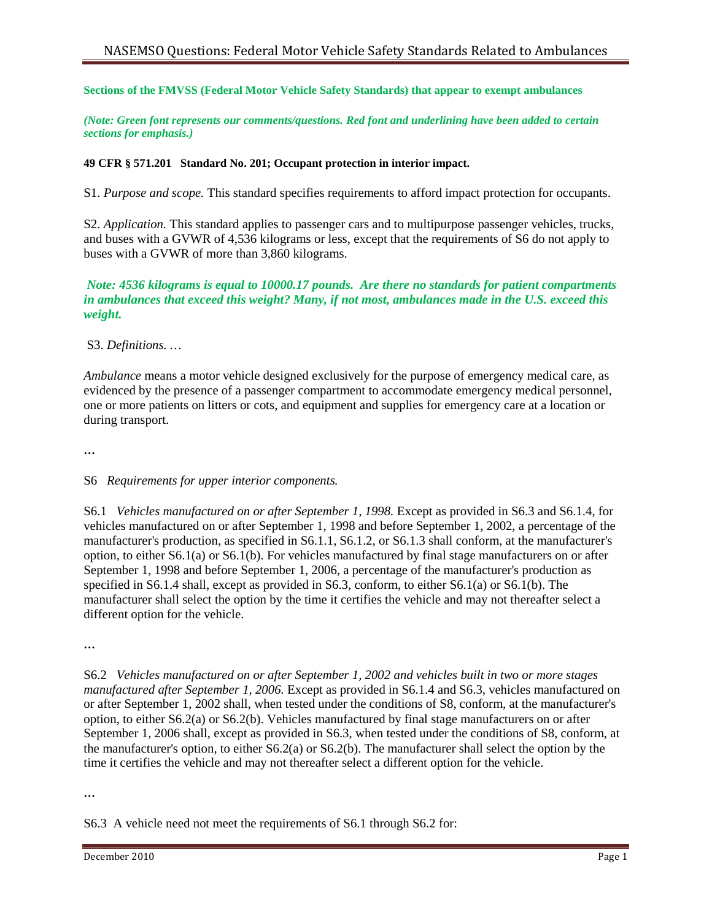#### **Sections of the FMVSS (Federal Motor Vehicle Safety Standards) that appear to exempt ambulances**

*(Note: Green font represents our comments/questions. Red font and underlining have been added to certain sections for emphasis.)*

#### **49 CFR § 571.201 Standard No. 201; Occupant protection in interior impact.**

S1. *Purpose and scope.* This standard specifies requirements to afford impact protection for occupants.

S2. *Application.* This standard applies to passenger cars and to multipurpose passenger vehicles, trucks, and buses with a GVWR of 4,536 kilograms or less, except that the requirements of S6 do not apply to buses with a GVWR of more than 3,860 kilograms.

#### *Note: 4536 kilograms is equal to 10000.17 pounds. Are there no standards for patient compartments in ambulances that exceed this weight? Many, if not most, ambulances made in the U.S. exceed this weight.*

### S3. *Definitions. …*

*Ambulance* means a motor vehicle designed exclusively for the purpose of emergency medical care, as evidenced by the presence of a passenger compartment to accommodate emergency medical personnel, one or more patients on litters or cots, and equipment and supplies for emergency care at a location or during transport.

**…**

## S6 *Requirements for upper interior components.*

S6.1 *Vehicles manufactured on or after September 1, 1998.* Except as provided in S6.3 and S6.1.4, for vehicles manufactured on or after September 1, 1998 and before September 1, 2002, a percentage of the manufacturer's production, as specified in S6.1.1, S6.1.2, or S6.1.3 shall conform, at the manufacturer's option, to either S6.1(a) or S6.1(b). For vehicles manufactured by final stage manufacturers on or after September 1, 1998 and before September 1, 2006, a percentage of the manufacturer's production as specified in S6.1.4 shall, except as provided in S6.3, conform, to either S6.1(a) or S6.1(b). The manufacturer shall select the option by the time it certifies the vehicle and may not thereafter select a different option for the vehicle.

**…**

S6.2 *Vehicles manufactured on or after September 1, 2002 and vehicles built in two or more stages manufactured after September 1, 2006.* Except as provided in S6.1.4 and S6.3, vehicles manufactured on or after September 1, 2002 shall, when tested under the conditions of S8, conform, at the manufacturer's option, to either S6.2(a) or S6.2(b). Vehicles manufactured by final stage manufacturers on or after September 1, 2006 shall, except as provided in S6.3, when tested under the conditions of S8, conform, at the manufacturer's option, to either S6.2(a) or S6.2(b). The manufacturer shall select the option by the time it certifies the vehicle and may not thereafter select a different option for the vehicle.

**…**

S6.3 A vehicle need not meet the requirements of S6.1 through S6.2 for: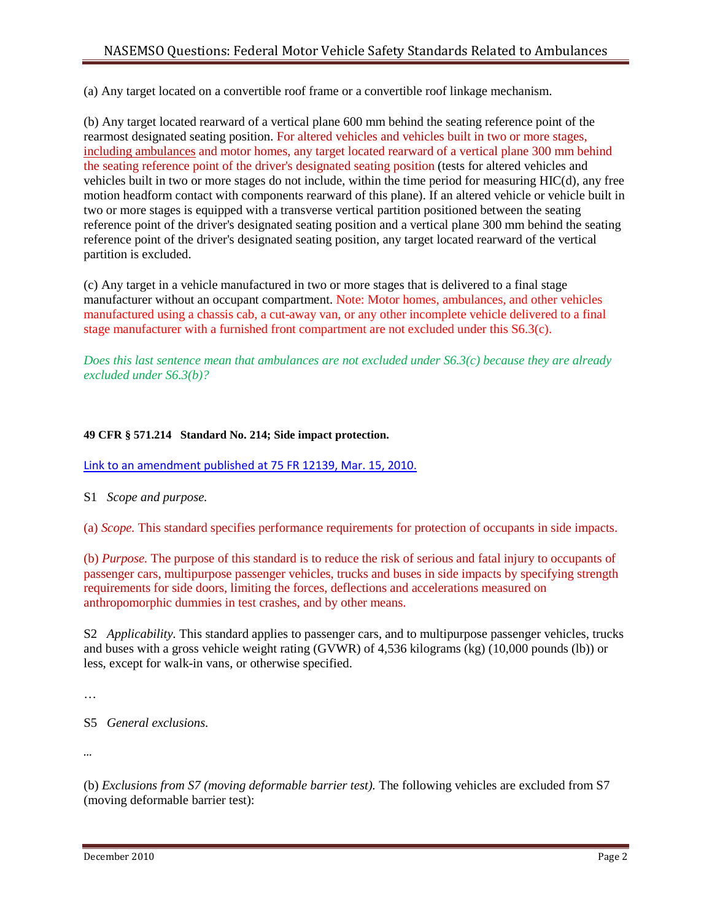(a) Any target located on a convertible roof frame or a convertible roof linkage mechanism.

(b) Any target located rearward of a vertical plane 600 mm behind the seating reference point of the rearmost designated seating position. For altered vehicles and vehicles built in two or more stages, including ambulances and motor homes, any target located rearward of a vertical plane 300 mm behind the seating reference point of the driver's designated seating position (tests for altered vehicles and vehicles built in two or more stages do not include, within the time period for measuring HIC(d), any free motion headform contact with components rearward of this plane). If an altered vehicle or vehicle built in two or more stages is equipped with a transverse vertical partition positioned between the seating reference point of the driver's designated seating position and a vertical plane 300 mm behind the seating reference point of the driver's designated seating position, any target located rearward of the vertical partition is excluded.

(c) Any target in a vehicle manufactured in two or more stages that is delivered to a final stage manufacturer without an occupant compartment. Note: Motor homes, ambulances, and other vehicles manufactured using a chassis cab, a cut-away van, or any other incomplete vehicle delivered to a final stage manufacturer with a furnished front compartment are not excluded under this S6.3(c).

*Does this last sentence mean that ambulances are not excluded under S6.3(c) because they are already excluded under S6.3(b)?*

## **49 CFR § 571.214 Standard No. 214; Side impact protection.**

[Link to an amendment published at 75 FR 12139, Mar. 15, 2010.](http://ecfr.gpoaccess.gov/cgi/t/text/text-idx?c=ecfr;sid=644c11c5558e0efa97bed176a6e1fd77;rgn=div2;view=text;node=20100315%3A1.8;idno=49;cc=ecfr;start=1;size=25)

S1 *Scope and purpose.* 

(a) *Scope.* This standard specifies performance requirements for protection of occupants in side impacts.

(b) *Purpose.* The purpose of this standard is to reduce the risk of serious and fatal injury to occupants of passenger cars, multipurpose passenger vehicles, trucks and buses in side impacts by specifying strength requirements for side doors, limiting the forces, deflections and accelerations measured on anthropomorphic dummies in test crashes, and by other means.

S2 *Applicability.* This standard applies to passenger cars, and to multipurpose passenger vehicles, trucks and buses with a gross vehicle weight rating (GVWR) of 4,536 kilograms (kg) (10,000 pounds (lb)) or less, except for walk-in vans, or otherwise specified.

…

S5 *General exclusions.*

*…*

(b) *Exclusions from S7 (moving deformable barrier test).* The following vehicles are excluded from S7 (moving deformable barrier test):